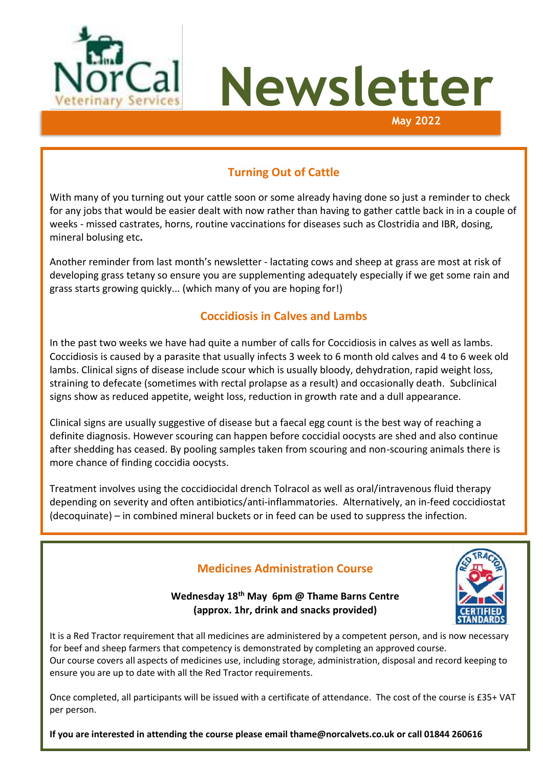



## **Turning Out of Cattle**

With many of you turning out your cattle soon or some already having done so just a reminder to check for any jobs that would be easier dealt with now rather than having to gather cattle back in in a couple of weeks - missed castrates, horns, routine vaccinations for diseases such as Clostridia and IBR, dosing, mineral bolusing etc**.**

Another reminder from last month's newsletter - lactating cows and sheep at grass are most at risk of developing grass tetany so ensure you are supplementing adequately especially if we get some rain and grass starts growing quickly... (which many of you are hoping for!)

### **Coccidiosis in Calves and Lambs**

In the past two weeks we have had quite a number of calls for Coccidiosis in calves as well as lambs. Coccidiosis is caused by a parasite that usually infects 3 week to 6 month old calves and 4 to 6 week old lambs. Clinical signs of disease include scour which is usually bloody, dehydration, rapid weight loss, straining to defecate (sometimes with rectal prolapse as a result) and occasionally death. Subclinical signs show as reduced appetite, weight loss, reduction in growth rate and a dull appearance.

Clinical signs are usually suggestive of disease but a faecal egg count is the best way of reaching a definite diagnosis. However scouring can happen before coccidial oocysts are shed and also continue after shedding has ceased. By pooling samples taken from scouring and non-scouring animals there is more chance of finding coccidia oocysts.

Treatment involves using the coccidiocidal drench Tolracol as well as oral/intravenous fluid therapy depending on severity and often antibiotics/anti-inflammatories. Alternatively, an in-feed coccidiostat (decoquinate) – in combined mineral buckets or in feed can be used to suppress the infection.

## **Medicines Administration Course**



**Wednesday 18th May 6pm @ Thame Barns Centre (approx. 1hr, drink and snacks provided)**

It is a Red Tractor requirement that all medicines are administered by a competent person, and is now necessary for beef and sheep farmers that competency is demonstrated by completing an approved course. Our course covers all aspects of medicines use, including storage, administration, disposal and record keeping to ensure you are up to date with all the Red Tractor requirements.

Once completed, all participants will be issued with a certificate of attendance. The cost of the course is £35+ VAT per person.

**If you are interested in attending the course please email tham[e@norcalvets.co.uk](mailto:jono@norcalvets.co.uk) or call 01844 260616**